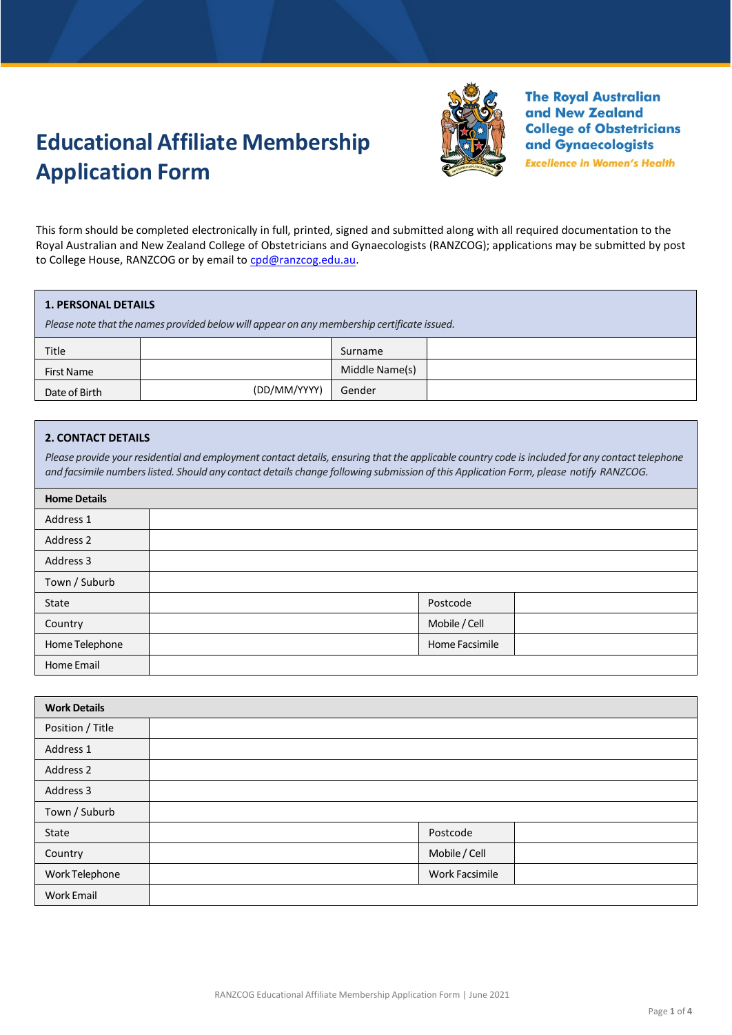# **Educational Affiliate Membership Application Form**



**The Royal Australian** and New Zealand **College of Obstetricians** and Gynaecologists

**Excellence in Women's Health** 

This form should be completed electronically in full, printed, signed and submitted along with all required documentation to the Royal Australian and New Zealand College of Obstetricians and Gynaecologists (RANZCOG); applications may be submitted by post to College House, RANZCOG or by email to [cpd@ranzcog.edu.au.](mailto:cpd@ranzcog.edu.au)

#### **1. PERSONAL DETAILS**

*Please* note that the names provided below will appear on any membership certificate issued.

| Title         |              | Surname        |  |
|---------------|--------------|----------------|--|
| First Name    |              | Middle Name(s) |  |
| Date of Birth | (DD/MM/YYYY) | Gender         |  |

## **2. CONTACT DETAILS**

Please provide your residential and employment contact details, ensuring that the applicable country code is included for any contact telephone and facsimile numbers listed. Should any contact details change following submission of this Application Form, please notify RANZCOG.

| <b>Home Details</b> |                |  |
|---------------------|----------------|--|
| Address 1           |                |  |
| Address 2           |                |  |
| Address 3           |                |  |
| Town / Suburb       |                |  |
| State               | Postcode       |  |
| Country             | Mobile / Cell  |  |
| Home Telephone      | Home Facsimile |  |
| Home Email          |                |  |

| <b>Work Details</b> |                       |
|---------------------|-----------------------|
| Position / Title    |                       |
| Address 1           |                       |
| Address 2           |                       |
| Address 3           |                       |
| Town / Suburb       |                       |
| State               | Postcode              |
| Country             | Mobile / Cell         |
| Work Telephone      | <b>Work Facsimile</b> |
| <b>Work Email</b>   |                       |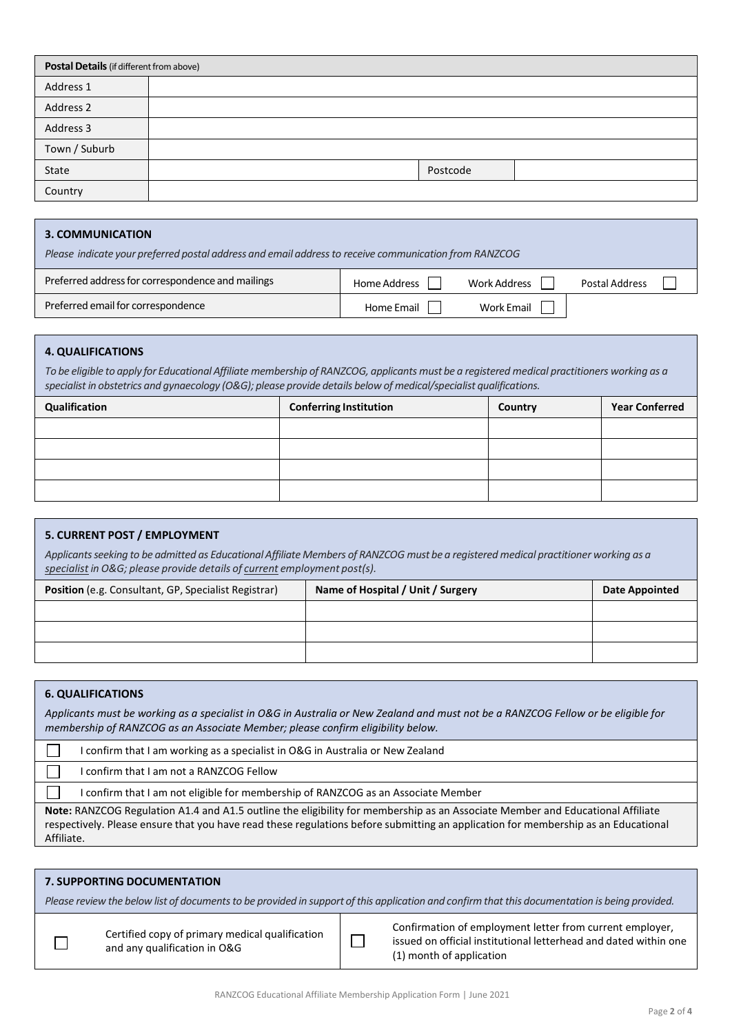| Postal Details (if different from above) |  |          |  |
|------------------------------------------|--|----------|--|
| Address 1                                |  |          |  |
| Address 2                                |  |          |  |
| Address 3                                |  |          |  |
| Town / Suburb                            |  |          |  |
| State                                    |  | Postcode |  |
| Country                                  |  |          |  |

#### **3. COMMUNICATION**

| Please indicate your preferred postal address and email address to receive communication from RANZCOG |              |              |                |
|-------------------------------------------------------------------------------------------------------|--------------|--------------|----------------|
| Preferred address for correspondence and mailings                                                     | Home Address | Work Address | Postal Address |
| Preferred email for correspondence                                                                    | Home Email   | Work Email   |                |

## **4. QUALIFICATIONS**

To be eligible to apply for Educational Affiliate membership of RANZCOG, applicants must be a registered medical practitioners working as a *specialist in obstetrics and gynaecology (O&G); please provide details below of medical/specialist qualifications.*

| Qualification | <b>Conferring Institution</b> | Country | <b>Year Conferred</b> |
|---------------|-------------------------------|---------|-----------------------|
|               |                               |         |                       |
|               |                               |         |                       |
|               |                               |         |                       |
|               |                               |         |                       |

## **5. CURRENT POST / EMPLOYMENT**

Applicants seeking to be admitted as Educational Affiliate Members of RANZCOG must be a registered medical practitioner working as a *specialist in O&G; please provide details of current employment post(s).*

| <b>Position</b> (e.g. Consultant, GP, Specialist Registrar) | Name of Hospital / Unit / Surgery | <b>Date Appointed</b> |
|-------------------------------------------------------------|-----------------------------------|-----------------------|
|                                                             |                                   |                       |
|                                                             |                                   |                       |
|                                                             |                                   |                       |

## **6. QUALIFICATIONS**

*Applicants must be working as a specialist in O&G in Australia or New Zealand and must not be a RANZCOG Fellow or be eligible for membership of RANZCOG as an Associate Member; please confirm eligibility below.*

П I confirm that I am working as a specialist in O&G in Australia or New Zealand

П I confirm that I am not a RANZCOG Fellow

I confirm that I am not eligible for membership of RANZCOG as an Associate Member

**Note:** RANZCOG Regulation A1.4 and A1.5 outline the eligibility for membership as an Associate Member and Educational Affiliate respectively. Please ensure that you have read these regulations before submitting an application for membership as an Educational Affiliate.

| <b>7. SUPPORTING DOCUMENTATION</b>                                                                                                             |                                                                                 |  |                                                                                                                                                          |  |
|------------------------------------------------------------------------------------------------------------------------------------------------|---------------------------------------------------------------------------------|--|----------------------------------------------------------------------------------------------------------------------------------------------------------|--|
| Please review the below list of documents to be provided in support of this application and confirm that this documentation is being provided. |                                                                                 |  |                                                                                                                                                          |  |
|                                                                                                                                                | Certified copy of primary medical qualification<br>and any qualification in O&G |  | Confirmation of employment letter from current employer,<br>issued on official institutional letterhead and dated within one<br>(1) month of application |  |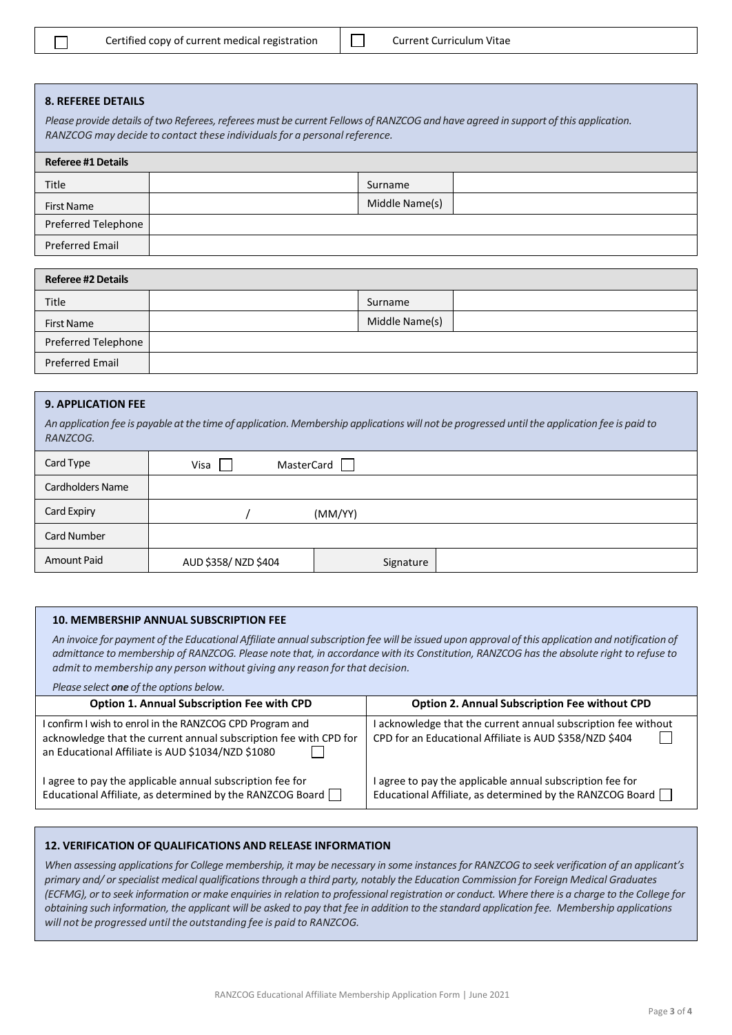|  | Certified copy of current medical registratic |  |
|--|-----------------------------------------------|--|
|--|-----------------------------------------------|--|

## **8. REFEREE DETAILS**

Please provide details of two Referees, referees must be current Fellows of RANZCOG and have agreed in support of this application. *RANZCOG may decide to contact these individualsfor a personalreference.*

| <b>Referee #1 Details</b> |  |                |  |
|---------------------------|--|----------------|--|
| Title                     |  | Surname        |  |
| First Name                |  | Middle Name(s) |  |
| Preferred Telephone       |  |                |  |
| <b>Preferred Email</b>    |  |                |  |

| <b>Referee #2 Details</b> |  |                |  |  |
|---------------------------|--|----------------|--|--|
| <b>Title</b>              |  | Surname        |  |  |
| First Name                |  | Middle Name(s) |  |  |
| Preferred Telephone       |  |                |  |  |
| <b>Preferred Email</b>    |  |                |  |  |

#### **9. APPLICATION FEE**

An application fee is payable at the time of application. Membership applications will not be progressed until the application fee is paid to *RANZCOG.*

| Card Type          | MasterCard<br>Visa  |           |  |
|--------------------|---------------------|-----------|--|
| Cardholders Name   |                     |           |  |
| Card Expiry        | (MM/YY)             |           |  |
| Card Number        |                     |           |  |
| <b>Amount Paid</b> | AUD \$358/NZD \$404 | Signature |  |

#### **10. MEMBERSHIP ANNUAL SUBSCRIPTION FEE**

An invoice for payment of the Educational Affiliate annual subscription fee will be issued upon approval of this application and notification of *admittance to membership of RANZCOG. Please note that, in accordance with its Constitution, RANZCOG has the absolute right to refuse to admit to membership any person without giving any reason for that decision.*

*Please select one of the options below.* 

| Option 1. Annual Subscription Fee with CPD                                                                                                                                         | <b>Option 2. Annual Subscription Fee without CPD</b>                                                                        |
|------------------------------------------------------------------------------------------------------------------------------------------------------------------------------------|-----------------------------------------------------------------------------------------------------------------------------|
| I confirm I wish to enrol in the RANZCOG CPD Program and<br>acknowledge that the current annual subscription fee with CPD for<br>an Educational Affiliate is AUD \$1034/NZD \$1080 | acknowledge that the current annual subscription fee without<br>CPD for an Educational Affiliate is AUD \$358/NZD \$404     |
| I agree to pay the applicable annual subscription fee for<br>Educational Affiliate, as determined by the RANZCOG Board                                                             | agree to pay the applicable annual subscription fee for<br>Educational Affiliate, as determined by the RANZCOG Board $\Box$ |

#### **12. VERIFICATION OF QUALIFICATIONS AND RELEASE INFORMATION**

*When assessing applications for College membership, it may be necessary in some instances for RANZCOG to seek verification of an applicant's primary and/ or specialist medical qualifications through a third party, notably the Education Commission for Foreign Medical Graduates (ECFMG), or to seek information or make enquiries in relation to professional registration or conduct. Where there is a charge to the College for obtaining such information, the applicant will be asked to pay that fee in addition to the standard application fee. Membership applications will not be progressed until the outstanding fee is paid to RANZCOG.*